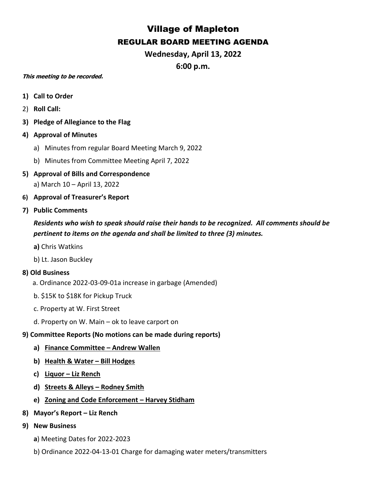## Village of Mapleton REGULAR BOARD MEETING AGENDA

**Wednesday, April 13, 2022 6:00 p.m.**

## **This meeting to be recorded.**

- **1) Call to Order**
- 2) **Roll Call:**
- **3) Pledge of Allegiance to the Flag**
- **4) Approval of Minutes**
	- a) Minutes from regular Board Meeting March 9, 2022
	- b) Minutes from Committee Meeting April 7, 2022
- **5) Approval of Bills and Correspondence** a) March 10 – April 13, 2022
- **6) Approval of Treasurer's Report**
- **7) Public Comments**

*Residents who wish to speak should raise their hands to be recognized. All comments should be pertinent to items on the agenda and shall be limited to three (3) minutes.*

- **a)** Chris Watkins
- b) Lt. Jason Buckley

## **8) Old Business**

- a. Ordinance 2022-03-09-01a increase in garbage (Amended)
- b. \$15K to \$18K for Pickup Truck
- c. Property at W. First Street
- d. Property on W. Main ok to leave carport on
- **9) Committee Reports (No motions can be made during reports)**
	- **a) Finance Committee – Andrew Wallen**
	- **b) Health & Water – Bill Hodges**
	- **c) Liquor – Liz Rench**
	- **d) Streets & Alleys – Rodney Smith**
	- **e) Zoning and Code Enforcement – Harvey Stidham**
- **8) Mayor's Report – Liz Rench**
- **9) New Business**
	- **a**) Meeting Dates for 2022-2023
	- b) Ordinance 2022-04-13-01 Charge for damaging water meters/transmitters